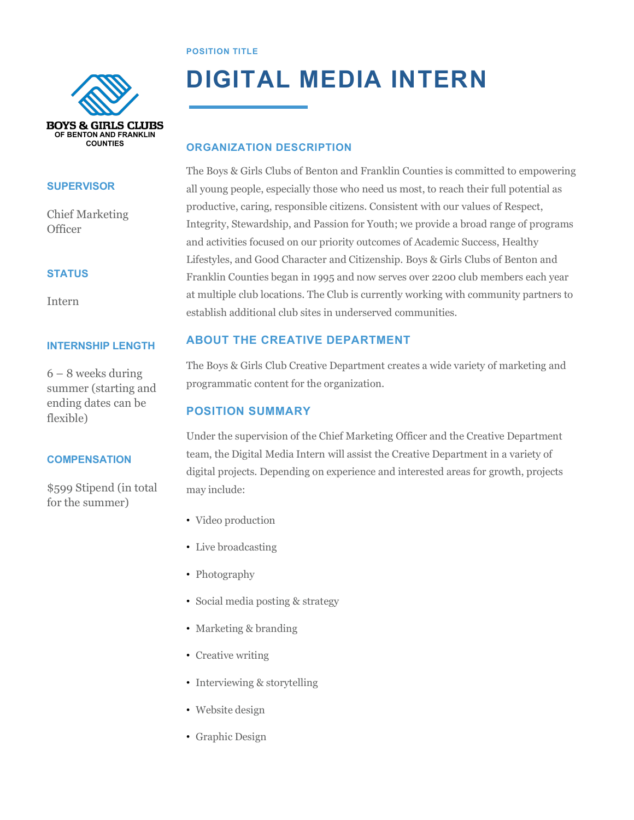#### **POSITION TITLE**



#### **SUPERVISOR**

Chief Marketing **Officer** 

#### **STATUS**

Intern

#### **INTERNSHIP LENGTH**

6 – 8 weeks during summer (starting and ending dates can be flexible)

#### **COMPENSATION**

\$599 Stipend (in total for the summer)

## **DIGITAL MEDIA INTERN**

### **ORGANIZATION DESCRIPTION**

The Boys & Girls Clubs of Benton and Franklin Counties is committed to empowering all young people, especially those who need us most, to reach their full potential as productive, caring, responsible citizens. Consistent with our values of Respect, Integrity, Stewardship, and Passion for Youth; we provide a broad range of programs and activities focused on our priority outcomes of Academic Success, Healthy Lifestyles, and Good Character and Citizenship. Boys & Girls Clubs of Benton and Franklin Counties began in 1995 and now serves over 2200 club members each year at multiple club locations. The Club is currently working with community partners to establish additional club sites in underserved communities.

## **ABOUT THE CREATIVE DEPARTMENT**

The Boys & Girls Club Creative Department creates a wide variety of marketing and programmatic content for the organization.

## **POSITION SUMMARY**

Under the supervision of the Chief Marketing Officer and the Creative Department team, the Digital Media Intern will assist the Creative Department in a variety of digital projects. Depending on experience and interested areas for growth, projects may include:

- Video production
- Live broadcasting
- Photography
- ! Social media posting & strategy
- Marketing & branding
- Creative writing
- ! Interviewing & storytelling
- Website design
- Graphic Design